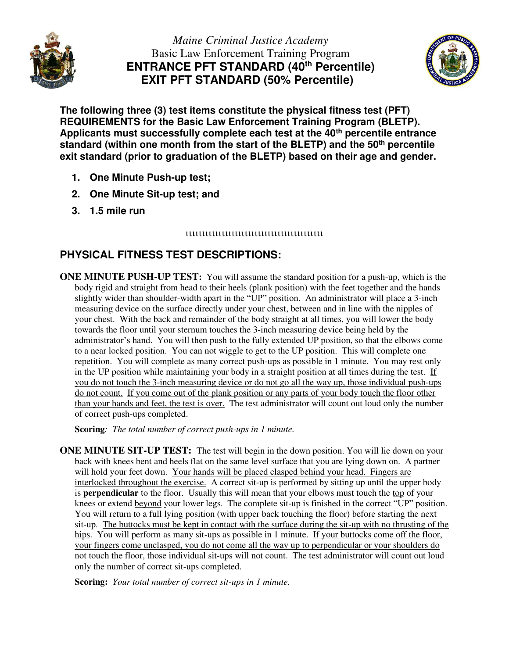

*Maine Criminal Justice Academy*  Basic Law Enforcement Training Program **ENTRANCE PFT STANDARD (40th Percentile) EXIT PFT STANDARD (50% Percentile)** 



**The following three (3) test items constitute the physical fitness test (PFT) REQUIREMENTS for the Basic Law Enforcement Training Program (BLETP). Applicants must successfully complete each test at the 40th percentile entrance standard (within one month from the start of the BLETP) and the 50th percentile exit standard (prior to graduation of the BLETP) based on their age and gender.** 

- **1. One Minute Push-up test;**
- **2. One Minute Sit-up test; and**
- **3. 1.5 mile run**

## 

## **PHYSICAL FITNESS TEST DESCRIPTIONS:**

**ONE MINUTE PUSH-UP TEST:** You will assume the standard position for a push-up, which is the body rigid and straight from head to their heels (plank position) with the feet together and the hands slightly wider than shoulder-width apart in the "UP" position. An administrator will place a 3-inch measuring device on the surface directly under your chest, between and in line with the nipples of your chest. With the back and remainder of the body straight at all times, you will lower the body towards the floor until your sternum touches the 3-inch measuring device being held by the administrator's hand. You will then push to the fully extended UP position, so that the elbows come to a near locked position. You can not wiggle to get to the UP position. This will complete one repetition. You will complete as many correct push-ups as possible in 1 minute. You may rest only in the UP position while maintaining your body in a straight position at all times during the test. If you do not touch the 3-inch measuring device or do not go all the way up, those individual push-ups do not count. If you come out of the plank position or any parts of your body touch the floor other than your hands and feet, the test is over. The test administrator will count out loud only the number of correct push-ups completed.

**Scoring***: The total number of correct push-ups in 1 minute.* 

**ONE MINUTE SIT-UP TEST:** The test will begin in the down position. You will lie down on your back with knees bent and heels flat on the same level surface that you are lying down on. A partner will hold your feet down. Your hands will be placed clasped behind your head. Fingers are interlocked throughout the exercise. A correct sit-up is performed by sitting up until the upper body is **perpendicular** to the floor. Usually this will mean that your elbows must touch the top of your knees or extend beyond your lower legs. The complete sit-up is finished in the correct "UP" position. You will return to a full lying position (with upper back touching the floor) before starting the next sit-up. The buttocks must be kept in contact with the surface during the sit-up with no thrusting of the hips. You will perform as many sit-ups as possible in 1 minute. If your buttocks come off the floor, your fingers come unclasped, you do not come all the way up to perpendicular or your shoulders do not touch the floor, those individual sit-ups will not count. The test administrator will count out loud only the number of correct sit-ups completed.

**Scoring:** *Your total number of correct sit-ups in 1 minute.*